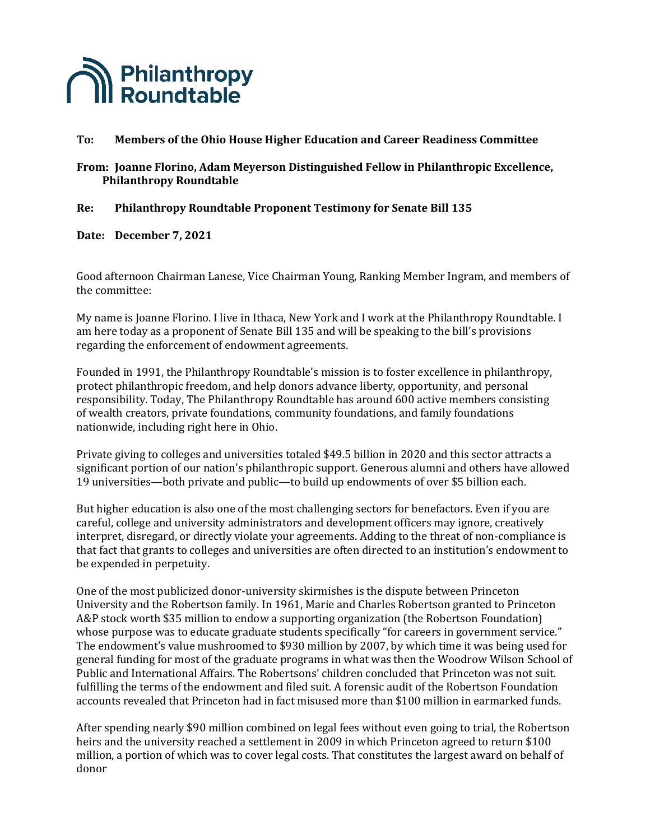

## To: Members of the Ohio House Higher Education and Career Readiness Committee

## From: Joanne Florino, Adam Meyerson Distinguished Fellow in Philanthropic Excellence, **Philanthropy Roundtable**

#### **Re: Philanthropy Roundtable Proponent Testimony for Senate Bill 135**

**Date: December 7, 2021**

Good afternoon Chairman Lanese, Vice Chairman Young, Ranking Member Ingram, and members of the committee:

My name is Joanne Florino. I live in Ithaca, New York and I work at the Philanthropy Roundtable. I am here today as a proponent of Senate Bill 135 and will be speaking to the bill's provisions regarding the enforcement of endowment agreements.

Founded in 1991, the Philanthropy Roundtable's mission is to foster excellence in philanthropy, protect philanthropic freedom, and help donors advance liberty, opportunity, and personal responsibility. Today, The Philanthropy Roundtable has around 600 active members consisting of wealth creators, private foundations, community foundations, and family foundations nationwide, including right here in Ohio.

Private giving to colleges and universities totaled \$49.5 billion in 2020 and this sector attracts a significant portion of our nation's philanthropic support. Generous alumni and others have allowed 19 universities—both private and public—to build up endowments of over \$5 billion each.

But higher education is also one of the most challenging sectors for benefactors. Even if you are careful, college and university administrators and development officers may ignore, creatively interpret, disregard, or directly violate your agreements. Adding to the threat of non-compliance is that fact that grants to colleges and universities are often directed to an institution's endowment to be expended in perpetuity.

One of the most publicized donor-university skirmishes is the dispute between Princeton University and the Robertson family. In 1961, Marie and Charles Robertson granted to Princeton A&P stock worth \$35 million to endow a supporting organization (the Robertson Foundation) whose purpose was to educate graduate students specifically "for careers in government service." The endowment's value mushroomed to \$930 million by 2007, by which time it was being used for general funding for most of the graduate programs in what was then the Woodrow Wilson School of Public and International Affairs. The Robertsons' children concluded that Princeton was not suit. fulfilling the terms of the endowment and filed suit. A forensic audit of the Robertson Foundation accounts revealed that Princeton had in fact misused more than \$100 million in earmarked funds.

After spending nearly \$90 million combined on legal fees without even going to trial, the Robertson heirs and the university reached a settlement in 2009 in which Princeton agreed to return \$100 million, a portion of which was to cover legal costs. That constitutes the largest award on behalf of donor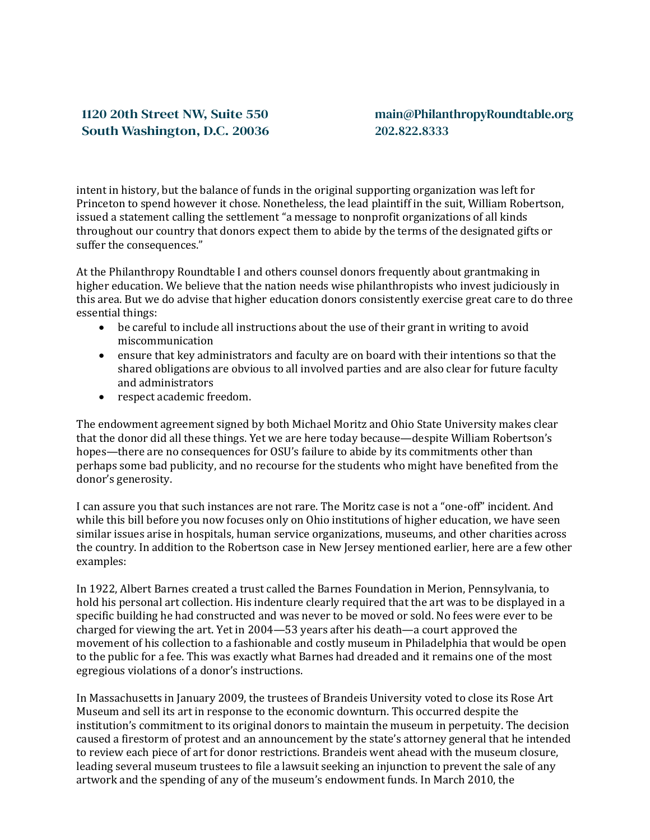# 1120 20th Street NW, Suite 550 South Washington, D.C. 20036

## main@PhilanthropyRoundtable.org 202.822.8333

intent in history, but the balance of funds in the original supporting organization was left for Princeton to spend however it chose. Nonetheless, the lead plaintiff in the suit, William Robertson, issued a statement calling the settlement "a message to nonprofit organizations of all kinds throughout our country that donors expect them to abide by the terms of the designated gifts or suffer the consequences."

At the Philanthropy Roundtable I and others counsel donors frequently about grantmaking in higher education. We believe that the nation needs wise philanthropists who invest judiciously in this area. But we do advise that higher education donors consistently exercise great care to do three essential things:

- be careful to include all instructions about the use of their grant in writing to avoid miscommunication
- ensure that key administrators and faculty are on board with their intentions so that the shared obligations are obvious to all involved parties and are also clear for future faculty and administrators
- respect academic freedom.

The endowment agreement signed by both Michael Moritz and Ohio State University makes clear that the donor did all these things. Yet we are here today because—despite William Robertson's hopes—there are no consequences for OSU's failure to abide by its commitments other than perhaps some bad publicity, and no recourse for the students who might have benefited from the donor's generosity.

I can assure you that such instances are not rare. The Moritz case is not a "one-off" incident. And while this bill before you now focuses only on Ohio institutions of higher education, we have seen similar issues arise in hospitals, human service organizations, museums, and other charities across the country. In addition to the Robertson case in New Jersey mentioned earlier, here are a few other examples:

In 1922, Albert Barnes created a trust called the Barnes Foundation in Merion, Pennsylvania, to hold his personal art collection. His indenture clearly required that the art was to be displayed in a specific building he had constructed and was never to be moved or sold. No fees were ever to be charged for viewing the art. Yet in 2004—53 years after his death—a court approved the movement of his collection to a fashionable and costly museum in Philadelphia that would be open to the public for a fee. This was exactly what Barnes had dreaded and it remains one of the most egregious violations of a donor's instructions.

In Massachusetts in January 2009, the trustees of Brandeis University voted to close its Rose Art Museum and sell its art in response to the economic downturn. This occurred despite the institution's commitment to its original donors to maintain the museum in perpetuity. The decision caused a firestorm of protest and an announcement by the state's attorney general that he intended to review each piece of art for donor restrictions. Brandeis went ahead with the museum closure, leading several museum trustees to file a lawsuit seeking an injunction to prevent the sale of any artwork and the spending of any of the museum's endowment funds. In March 2010, the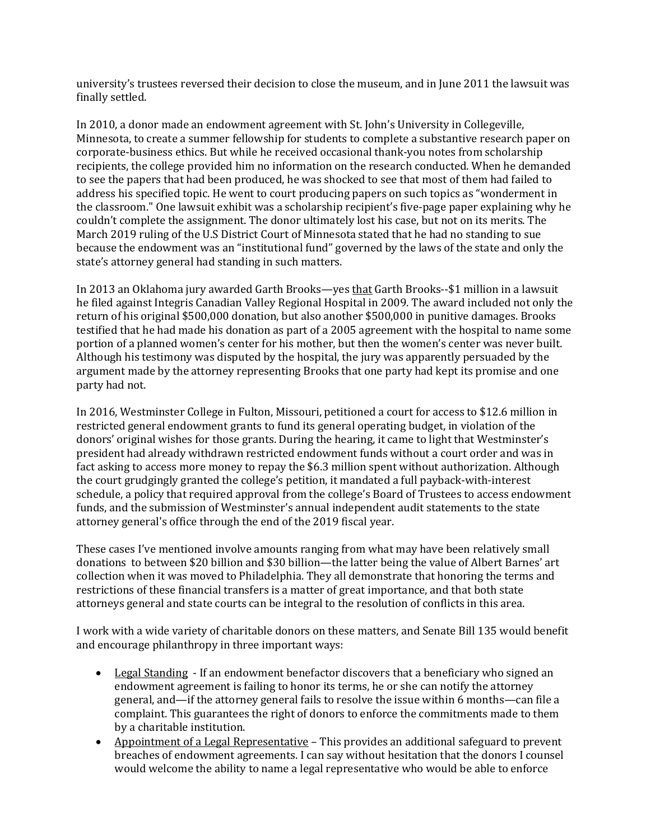university's trustees reversed their decision to close the museum, and in June 2011 the lawsuit was finally settled.

In 2010, a donor made an endowment agreement with St. John's University in Collegeville, Minnesota, to create a summer fellowship for students to complete a substantive research paper on corporate-business ethics. But while he received occasional thank-you notes from scholarship recipients, the college provided him no information on the research conducted. When he demanded to see the papers that had been produced, he was shocked to see that most of them had failed to address his specified topic. He went to court producing papers on such topics as "wonderment in the classroom." One lawsuit exhibit was a scholarship recipient's five-page paper explaining why he couldn't complete the assignment. The donor ultimately lost his case, but not on its merits. The March 2019 ruling of the U.S District Court of Minnesota stated that he had no standing to sue because the endowment was an "institutional fund" governed by the laws of the state and only the state's attorney general had standing in such matters.

In 2013 an Oklahoma jury awarded Garth Brooks—yes that Garth Brooks--\$1 million in a lawsuit he filed against Integris Canadian Valley Regional Hospital in 2009. The award included not only the return of his original \$500,000 donation, but also another \$500,000 in punitive damages. Brooks testified that he had made his donation as part of a 2005 agreement with the hospital to name some portion of a planned women's center for his mother, but then the women's center was never built. Although his testimony was disputed by the hospital, the jury was apparently persuaded by the argument made by the attorney representing Brooks that one party had kept its promise and one party had not.

In 2016, Westminster College in Fulton, Missouri, petitioned a court for access to \$12.6 million in restricted general endowment grants to fund its general operating budget, in violation of the donors' original wishes for those grants. During the hearing, it came to light that Westminster's president had already withdrawn restricted endowment funds without a court order and was in fact asking to access more money to repay the \$6.3 million spent without authorization. Although the court grudgingly granted the college's petition, it mandated a full payback-with-interest schedule, a policy that required approval from the college's Board of Trustees to access endowment funds, and the submission of Westminster's annual independent audit statements to the state attorney general's office through the end of the 2019 fiscal year.

These cases I've mentioned involve amounts ranging from what may have been relatively small donations to between \$20 billion and \$30 billion—the latter being the value of Albert Barnes' art collection when it was moved to Philadelphia. They all demonstrate that honoring the terms and restrictions of these financial transfers is a matter of great importance, and that both state attorneys general and state courts can be integral to the resolution of conflicts in this area.

I work with a wide variety of charitable donors on these matters, and Senate Bill 135 would benefit and encourage philanthropy in three important ways:

- Legal Standing If an endowment benefactor discovers that a beneficiary who signed an endowment agreement is failing to honor its terms, he or she can notify the attorney general, and—if the attorney general fails to resolve the issue within 6 months—can file a complaint. This guarantees the right of donors to enforce the commitments made to them by a charitable institution.
- Appointment of a Legal Representative This provides an additional safeguard to prevent breaches of endowment agreements. I can say without hesitation that the donors I counsel would welcome the ability to name a legal representative who would be able to enforce